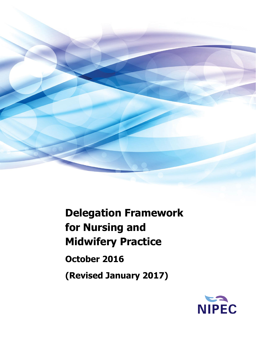

# **Delegation Framework for Nursing and Midwifery Practice**

**October 2016**

**(Revised January 2017)**

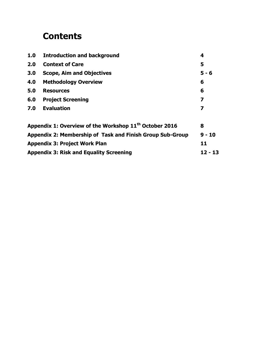# **Contents**

| 1.0<br><b>Introduction and background</b> |                                                                    |          |  |  |
|-------------------------------------------|--------------------------------------------------------------------|----------|--|--|
| 2.0                                       | <b>Context of Care</b>                                             | 5        |  |  |
| 3.0                                       | <b>Scope, Aim and Objectives</b>                                   | $5 - 6$  |  |  |
| 4.0                                       | <b>Methodology Overview</b>                                        | 6        |  |  |
| 5.0                                       | <b>Resources</b>                                                   | 6        |  |  |
| 6.0                                       | <b>Project Screening</b>                                           | 7        |  |  |
| 7.0                                       | <b>Evaluation</b>                                                  | 7        |  |  |
|                                           | Appendix 1: Overview of the Workshop 11 <sup>th</sup> October 2016 | 8        |  |  |
|                                           | Appendix 2: Membership of Task and Finish Group Sub-Group          | $9 - 10$ |  |  |
|                                           | <b>Appendix 3: Project Work Plan</b>                               | 11       |  |  |
|                                           | <b>Appendix 3: Risk and Equality Screening</b>                     | 12 - 13  |  |  |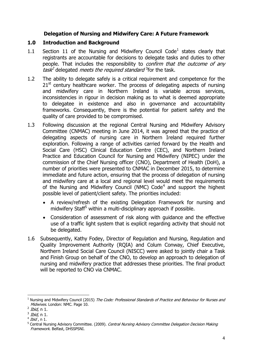#### **Delegation of Nursing and Midwifery Care: A Future Framework**

#### **1.0 Introduction and Background**

- 1.1 Section 11 of the Nursing and Midwifery Council Code<sup>1</sup> states clearly that registrants are accountable for decisions to delegate tasks and duties to other people. That includes the responsibility to *confirm that the outcome of any*  $\textit{task}^2$  delegated *meets the required standard* <sup>3</sup> for the task.
- 1.2 The ability to delegate safely is a critical requirement and competence for the  $21<sup>st</sup>$  century healthcare worker. The process of delegating aspects of nursing and midwifery care in Northern Ireland is variable across services, inconsistencies in rigour in decision making as to what is deemed appropriate to delegatee in existence and also in governance and accountability frameworks. Consequently, there is the potential for patient safety and the quality of care provided to be compromised.
- 1.3 Following discussion at the regional Central Nursing and Midwifery Advisory Committee (CNMAC) meeting in June 2014, it was agreed that the practice of delegating aspects of nursing care in Northern Ireland required further exploration. Following a range of activities carried forward by the Health and Social Care (HSC) Clinical Education Centre (CEC), and Northern Ireland Practice and Education Council for Nursing and Midwifery (NIPEC) under the commission of the Chief Nursing officer (CNO), Department of Health (DoH), a number of priorities were presented to CNMAC in December 2015, to determine immediate and future action, ensuring that the process of delegation of nursing and midwifery care at a local and regional level would meet the requirements of the Nursing and Midwifery Council (NMC)  $Code<sup>4</sup>$  and support the highest possible level of patient/client safety. The priorities included:
	- A review/refresh of the existing Delegation Framework for nursing and midwifery Staff<sup>5</sup> within a multi-disciplinary approach if possible.
	- Consideration of assessment of risk along with guidance and the effective use of a traffic light system that is explicit regarding activity that should not be delegated.
- 1.6 Subsequently, Kathy Fodey, Director of Regulation and Nursing, Regulation and Quality Improvement Authority (RQIA) and Colum Conway, Chief Executive, Northern Ireland Social Care Council (NISCC) were asked to jointly chair a Task and Finish Group on behalf of the CNO, to develop an approach to delegation of nursing and midwifery practice that addresses these priorities. The final product will be reported to CNO via CNMAC.

 $\overline{\phantom{a}}$  $<sup>1</sup>$  Nursing and Midwifery Council (2015) The Code: Professional Standards of Practice and Behaviour for Nurses and</sup> Midwives. London: NMC. Page 10.

<sup>&</sup>lt;sup>2</sup> *Ibid,* n 1.

 $^3$  *Ibid,* n 1.

<sup>&</sup>lt;sup>4</sup> *Ibid* , n 1.

<sup>&</sup>lt;sup>5</sup> Central Nursing Advisory Committee. (2009). Central Nursing Advisory Committee Delegation Decision Making Framework. Belfast, DHSSPSNI.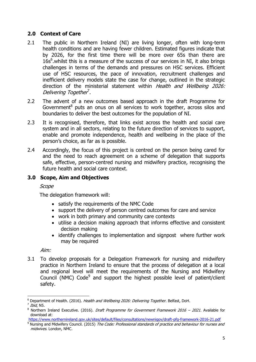#### **2.0 Context of Care**

- 2.1 The public in Northern Ireland (NI) are living longer, often with long-term health conditions and are having fewer children. Estimated figures indicate that by 2026, for the first time there will be more over 65s than there are  $16s<sup>6</sup>$ . whilst this is a measure of the success of our services in NI, it also brings challenges in terms of the demands and pressures on HSC services. Efficient use of HSC resources, the pace of innovation, recruitment challenges and inefficient delivery models state the case for change, outlined in the strategic direction of the ministerial statement within Health and Wellbeing 2026: Delivering Together<sup>7</sup>.
- 2.2 The advent of a new outcomes based approach in the draft Programme for Government<sup>8</sup> puts an onus on all services to work together, across silos and boundaries to deliver the best outcomes for the population of NI.
- 2.3 It is recognised, therefore, that links exist across the health and social care system and in all sectors, relating to the future direction of services to support, enable and promote independence, health and wellbeing in the place of the person's choice, as far as is possible.
- 2.4 Accordingly, the focus of this project is centred on the person being cared for and the need to reach agreement on a scheme of delegation that supports safe, effective, person-centred nursing and midwifery practice, recognising the future health and social care context.

#### **3.0 Scope, Aim and Objectives**

#### Scope

The delegation framework will:

- satisfy the requirements of the NMC Code
- support the delivery of person centred outcomes for care and service
- work in both primary and community care contexts
- utilise a decision making approach that informs effective and consistent decision making
- identify challenges to implementation and signpost where further work may be required

Aim:

3.1 To develop proposals for a Delegation Framework for nursing and midwifery practice in Northern Ireland to ensure that the process of delegation at a local and regional level will meet the requirements of the Nursing and Midwifery Council (NMC) Code $9$  and support the highest possible level of patient/client safety.

l Department of Health. (2016). Health and Wellbeing 2026: Delivering Together. Belfast, DoH.

<sup>&</sup>lt;sup>7</sup> Ibid, N5.

Northern Ireland Executive. (2016). Draft Programme for Government Framework 2016 - 2021. Available for download at:

<https://www.northernireland.gov.uk/sites/default/files/consultations/newnigov/draft-pfg-framework-2016-21.pdf>

<sup>&</sup>lt;sup>9</sup> Nursing and Midwifery Council. (2015) The Code: Professional standards of practice and behaviour for nurses and midwives. London, NMC.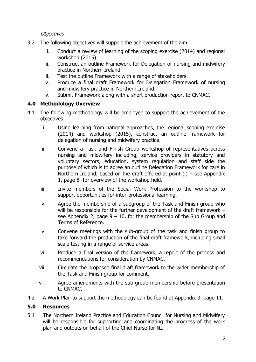**Objectives** 

- 3.2 The following objectives will support the achievement of the aim:
	- i. Conduct a review of learning of the scoping exercise (2014) and regional workshop (2015).
	- ii. Construct an outline Framework for Delegation of nursing and midwifery practice in Northern Ireland.
	- iii. Test the outline Framework with a range of stakeholders.
	- iv. Produce a final draft Framework for Delegation Framework of nursing and midwifery practice in Northern Ireland.
	- v. Submit Framework along with a short production report to CNMAC.

#### **4.0 Methodology Overview**

- 4.1 The following methodology will be employed to support the achievement of the objectives:
	- i. Using learning from national approaches, the regional scoping exercise (2014) and workshop (2015), construct an outline framework for delegation of nursing and midwifery practice.
	- ii. Convene a Task and Finish Group workshop of representatives across nursing and midwifery including, service providers in statutory and voluntary sectors, education, system regulation and staff side the purpose of which is to agree an outline Delegation Framework for care in Northern Ireland, based on the draft offered at point  $(i)$  – see Appendix 1, page 8 -for overview of the workshop held.
	- iii. Invite members of the Social Work Profession to the workshop to support opportunities for inter-professional learning.
	- iv. Agree the membership of a subgroup of the Task and Finish group who will be responsible for the further development of the draft framework – see Appendix 2, page  $9 - 10$ , for the membership of the Sub Group and Terms of Reference.
	- v. Convene meetings with the sub-group of the task and finish group to take forward the production of the final draft framework, including small scale testing in a range of service areas.
	- vi. Produce a final version of the framework, a report of the process and recommendations for consideration by CNMAC.
	- vii. Circulate the proposed final draft framework to the wider membership of the Task and Finish group for comment.
	- viii. Agree amendments with the sub-group membership before presentation to CNMAC.
- 4.2 A Work Plan to support the methodology can be found at Appendix 3, page 11.

#### **5.0 Resources**

5.1 The Northern Ireland Practice and Education Council for Nursing and Midwifery will be responsible for supporting and coordinating the progress of the work plan and outputs on behalf of the Chief Nurse for NI.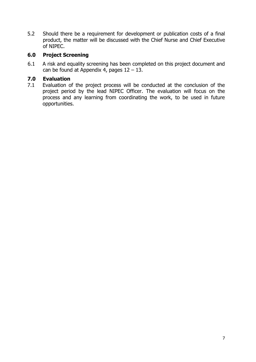5.2 Should there be a requirement for development or publication costs of a final product, the matter will be discussed with the Chief Nurse and Chief Executive of NIPEC.

#### **6.0 Project Screening**

6.1 A risk and equality screening has been completed on this project document and can be found at Appendix 4, pages  $12 - 13$ .

#### **7.0 Evaluation**

7.1 Evaluation of the project process will be conducted at the conclusion of the project period by the lead NIPEC Officer. The evaluation will focus on the process and any learning from coordinating the work, to be used in future opportunities.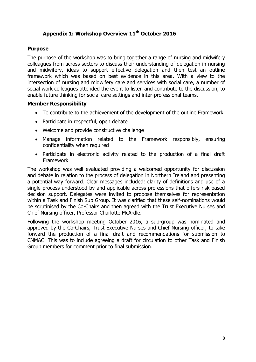#### **Appendix 1: Workshop Overview 11th October 2016**

#### **Purpose**

The purpose of the workshop was to bring together a range of nursing and midwifery colleagues from across sectors to discuss their understanding of delegation in nursing and midwifery, ideas to support effective delegation and then test an outline framework which was based on best evidence in this area. With a view to the intersection of nursing and midwifery care and services with social care, a number of social work colleagues attended the event to listen and contribute to the discussion, to enable future thinking for social care settings and inter-professional teams.

#### **Member Responsibility**

- To contribute to the achievement of the development of the outline Framework
- Participate in respectful, open debate
- Welcome and provide constructive challenge
- Manage information related to the Framework responsibly, ensuring confidentiality when required
- Participate in electronic activity related to the production of a final draft Framework

The workshop was well evaluated providing a welcomed opportunity for discussion and debate in relation to the process of delegation in Northern Ireland and presenting a potential way forward. Clear messages included: clarity of definitions and use of a single process understood by and applicable across professions that offers risk based decision support. Delegates were invited to propose themselves for representation within a Task and Finish Sub Group. It was clarified that these self-nominations would be scrutinised by the Co-Chairs and then agreed with the Trust Executive Nurses and Chief Nursing officer, Professor Charlotte McArdle.

Following the workshop meeting October 2016, a sub-group was nominated and approved by the Co-Chairs, Trust Executive Nurses and Chief Nursing officer, to take forward the production of a final draft and recommendations for submission to CNMAC. This was to include agreeing a draft for circulation to other Task and Finish Group members for comment prior to final submission.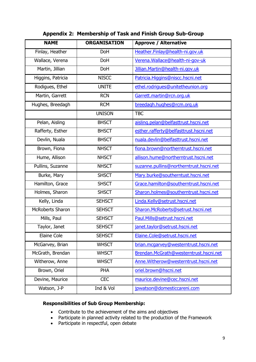| <b>NAME</b>             | <b>ORGANISATION</b> | <b>Approve / Alternative</b>            |
|-------------------------|---------------------|-----------------------------------------|
| Finlay, Heather         | <b>DoH</b>          | Heather.Finlay@health-ni.gov.uk         |
| Wallace, Verena         | <b>DoH</b>          | Verena. Wallace@health-ni-gov-uk        |
| Martin, Jillian         | DoH                 | Jillian. Martin@health-ni.gov.uk        |
| Higgins, Patricia       | <b>NISCC</b>        | Patricia.Higgins@niscc.hscni.net        |
| Rodigues, Ethel         | <b>UNITE</b>        | ethel.rodrigues@unitetheunion.org       |
| Martin, Garrett         | <b>RCN</b>          | Garrett.martin@rcn.org.uk               |
| Hughes, Breedagh        | <b>RCM</b>          | breedagh.hughes@rcm.org.uk              |
|                         | <b>UNISON</b>       | <b>TBC</b>                              |
| Pelan, Aisling          | <b>BHSCT</b>        | aisling.pelan@belfasttrust.hscni.net    |
| Rafferty, Esther        | <b>BHSCT</b>        | esther.rafferty@belfasttrust.hscni.net  |
| Devlin, Nuala           | <b>BHSCT</b>        | nuala.devlin@belfasttrust.hscni.net     |
| Brown, Fiona            | <b>NHSCT</b>        | fiona.brown@northerntrust.hscni.net     |
| Hume, Allison           | <b>NHSCT</b>        | allison.hume@northerntrust.hscni.net    |
| Pullins, Suzanne        | <b>NHSCT</b>        | suzanne.pullins@northerntrust.hscni.net |
| Burke, Mary             | <b>SHSCT</b>        | Mary.burke@southerntust.hscni.net       |
| Hamilton, Grace         | <b>SHSCT</b>        | Grace.hamilton@southerntrust.hscni.net  |
| Holmes, Sharon          | <b>SHSCT</b>        | Sharon.holmes@southerntrust.hscni.net   |
| Kelly, Linda            | <b>SEHSCT</b>       | Linda.Kelly@setrust.hscni.net           |
| <b>McRoberts Sharon</b> | <b>SEHSCT</b>       | Sharon.McRoberts@setrust.hscni.net      |
| Mills, Paul             | <b>SEHSCT</b>       | Paul.Mills@setrust.hscni.net            |
| Taylor, Janet           | <b>SEHSCT</b>       | janet.taylor@setrust.hscni.net          |
| <b>Elaine Cole</b>      | <b>SEHSCT</b>       | Elaine.Cole@setrust.hscni.net           |
| McGarvey, Brian         | <b>WHSCT</b>        | brian.mcgarvey@westerntrust.hscni.net   |
| McGrath, Brendan        | <b>WHSCT</b>        | Brendan.McGrath@westerntrust.hscni.net  |
| Witherow, Anne          | <b>WHSCT</b>        | Anne. Witherow@westerntrust.hscni.net   |
| Brown, Oriel            | PHA                 | oriel.brown@hscni.net                   |
| Devine, Maurice         | <b>CEC</b>          | maurice.devine@cec.hscni.net            |
| Watson, J-P             | Ind & Vol           | jpwatson@domesticcareni.com             |

#### **Appendix 2: Membership of Task and Finish Group Sub-Group**

#### **Responsibilities of Sub Group Membership:**

- Contribute to the achievement of the aims and objectives
- Participate in planned activity related to the production of the Framework
- Participate in respectful, open debate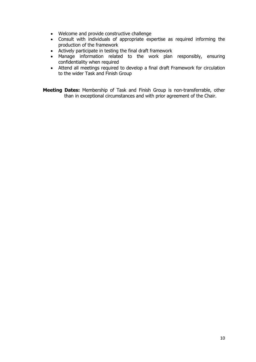- Welcome and provide constructive challenge
- Consult with individuals of appropriate expertise as required informing the production of the framework
- Actively participate in testing the final draft framework
- Manage information related to the work plan responsibly, ensuring confidentiality when required
- Attend all meetings required to develop a final draft Framework for circulation to the wider Task and Finish Group

**Meeting Dates:** Membership of Task and Finish Group is non-transferrable, other than in exceptional circumstances and with prior agreement of the Chair.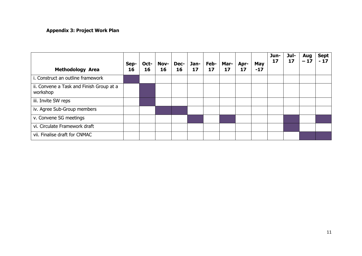#### **Appendix 3: Project Work Plan**

| <b>Methodology Area</b>                              | Sep-<br>16 | Oct-<br>16 | Nov-<br>16 | $Dec-$<br>16 | 17 | Jan-   Feb-  <br>17 | Mar-<br>17 | Apr-<br>17 | May<br>$-17$ | Jun-<br>17 | Jul-<br>17 | Aug<br>$-17$ | <b>Sept</b><br>$-17$ |
|------------------------------------------------------|------------|------------|------------|--------------|----|---------------------|------------|------------|--------------|------------|------------|--------------|----------------------|
| i. Construct an outline framework                    |            |            |            |              |    |                     |            |            |              |            |            |              |                      |
| ii. Convene a Task and Finish Group at a<br>workshop |            |            |            |              |    |                     |            |            |              |            |            |              |                      |
| iii. Invite SW reps                                  |            |            |            |              |    |                     |            |            |              |            |            |              |                      |
| iv. Agree Sub-Group members                          |            |            |            |              |    |                     |            |            |              |            |            |              |                      |
| v. Convene SG meetings                               |            |            |            |              |    |                     |            |            |              |            |            |              |                      |
| vi. Circulate Framework draft                        |            |            |            |              |    |                     |            |            |              |            |            |              |                      |
| vii. Finalise draft for CNMAC                        |            |            |            |              |    |                     |            |            |              |            |            |              |                      |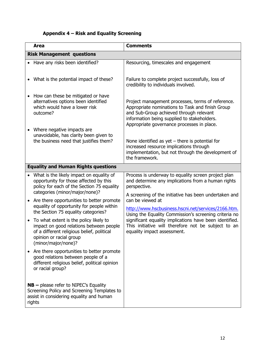## **Appendix 4 – Risk and Equality Screening**

| <b>Area</b>                                                                                                                                                                                                                                                                                                                                                                                                                                                                                                                                                                                                                                                                             | <b>Comments</b>                                                                                                                                                                                                                                                                                                                                                                                                                                                         |
|-----------------------------------------------------------------------------------------------------------------------------------------------------------------------------------------------------------------------------------------------------------------------------------------------------------------------------------------------------------------------------------------------------------------------------------------------------------------------------------------------------------------------------------------------------------------------------------------------------------------------------------------------------------------------------------------|-------------------------------------------------------------------------------------------------------------------------------------------------------------------------------------------------------------------------------------------------------------------------------------------------------------------------------------------------------------------------------------------------------------------------------------------------------------------------|
| <b>Risk Management questions</b>                                                                                                                                                                                                                                                                                                                                                                                                                                                                                                                                                                                                                                                        |                                                                                                                                                                                                                                                                                                                                                                                                                                                                         |
| Have any risks been identified?                                                                                                                                                                                                                                                                                                                                                                                                                                                                                                                                                                                                                                                         | Resourcing, timescales and engagement                                                                                                                                                                                                                                                                                                                                                                                                                                   |
| What is the potential impact of these?<br>$\bullet$                                                                                                                                                                                                                                                                                                                                                                                                                                                                                                                                                                                                                                     | Failure to complete project successfully, loss of<br>credibility to individuals involved.                                                                                                                                                                                                                                                                                                                                                                               |
| How can these be mitigated or have<br>$\bullet$<br>alternatives options been identified<br>which would have a lower risk<br>outcome?                                                                                                                                                                                                                                                                                                                                                                                                                                                                                                                                                    | Project management processes, terms of reference.<br>Appropriate nominations to Task and finish Group<br>and Sub-Group achieved through relevant<br>information being supplied to stakeholders.<br>Appropriate governance processes in place.                                                                                                                                                                                                                           |
| Where negative impacts are<br>$\bullet$<br>unavoidable, has clarity been given to<br>the business need that justifies them?                                                                                                                                                                                                                                                                                                                                                                                                                                                                                                                                                             | None identified as yet $-$ there is potential for<br>increased resource implications through<br>implementation, but not through the development of<br>the framework.                                                                                                                                                                                                                                                                                                    |
| <b>Equality and Human Rights questions</b>                                                                                                                                                                                                                                                                                                                                                                                                                                                                                                                                                                                                                                              |                                                                                                                                                                                                                                                                                                                                                                                                                                                                         |
| What is the likely impact on equality of<br>$\bullet$<br>opportunity for those affected by this<br>policy for each of the Section 75 equality<br>categories (minor/major/none)?<br>Are there opportunities to better promote<br>$\bullet$<br>equality of opportunity for people within<br>the Section 75 equality categories?<br>To what extent is the policy likely to<br>$\bullet$<br>impact on good relations between people<br>of a different religious belief, political<br>opinion or racial group<br>(minor/major/none)?<br>Are there opportunities to better promote<br>good relations between people of a<br>different religious belief, political opinion<br>or racial group? | Process is underway to equality screen project plan<br>and determine any implications from a human rights<br>perspective.<br>A screening of the initiative has been undertaken and<br>can be viewed at<br>http://www.hscbusiness.hscni.net/services/2166.htm.<br>Using the Equality Commission's screening criteria no<br>significant equality implications have been identified.<br>This initiative will therefore not be subject to an<br>equality impact assessment. |
| $NB$ – please refer to NIPEC's Equality<br>Screening Policy and Screening Templates to<br>assist in considering equality and human<br>rights                                                                                                                                                                                                                                                                                                                                                                                                                                                                                                                                            |                                                                                                                                                                                                                                                                                                                                                                                                                                                                         |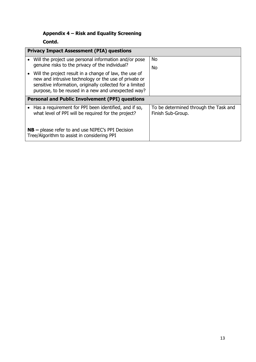## **Appendix 4 – Risk and Equality Screening**

**Contd.** 

| <b>Privacy Impact Assessment (PIA) questions</b>                                                                                                                                                                                   |                                                            |  |  |  |  |  |
|------------------------------------------------------------------------------------------------------------------------------------------------------------------------------------------------------------------------------------|------------------------------------------------------------|--|--|--|--|--|
| Will the project use personal information and/or pose<br>genuine risks to the privacy of the individual?                                                                                                                           | No.                                                        |  |  |  |  |  |
|                                                                                                                                                                                                                                    | No                                                         |  |  |  |  |  |
| Will the project result in a change of law, the use of<br>new and intrusive technology or the use of private or<br>sensitive information, originally collected for a limited<br>purpose, to be reused in a new and unexpected way? |                                                            |  |  |  |  |  |
| <b>Personal and Public Involvement (PPI) questions</b>                                                                                                                                                                             |                                                            |  |  |  |  |  |
| Has a requirement for PPI been identified, and if so,<br>what level of PPI will be required for the project?                                                                                                                       | To be determined through the Task and<br>Finish Sub-Group. |  |  |  |  |  |
| $NB$ – please refer to and use NIPEC's PPI Decision<br>Tree/Algorithm to assist in considering PPI                                                                                                                                 |                                                            |  |  |  |  |  |